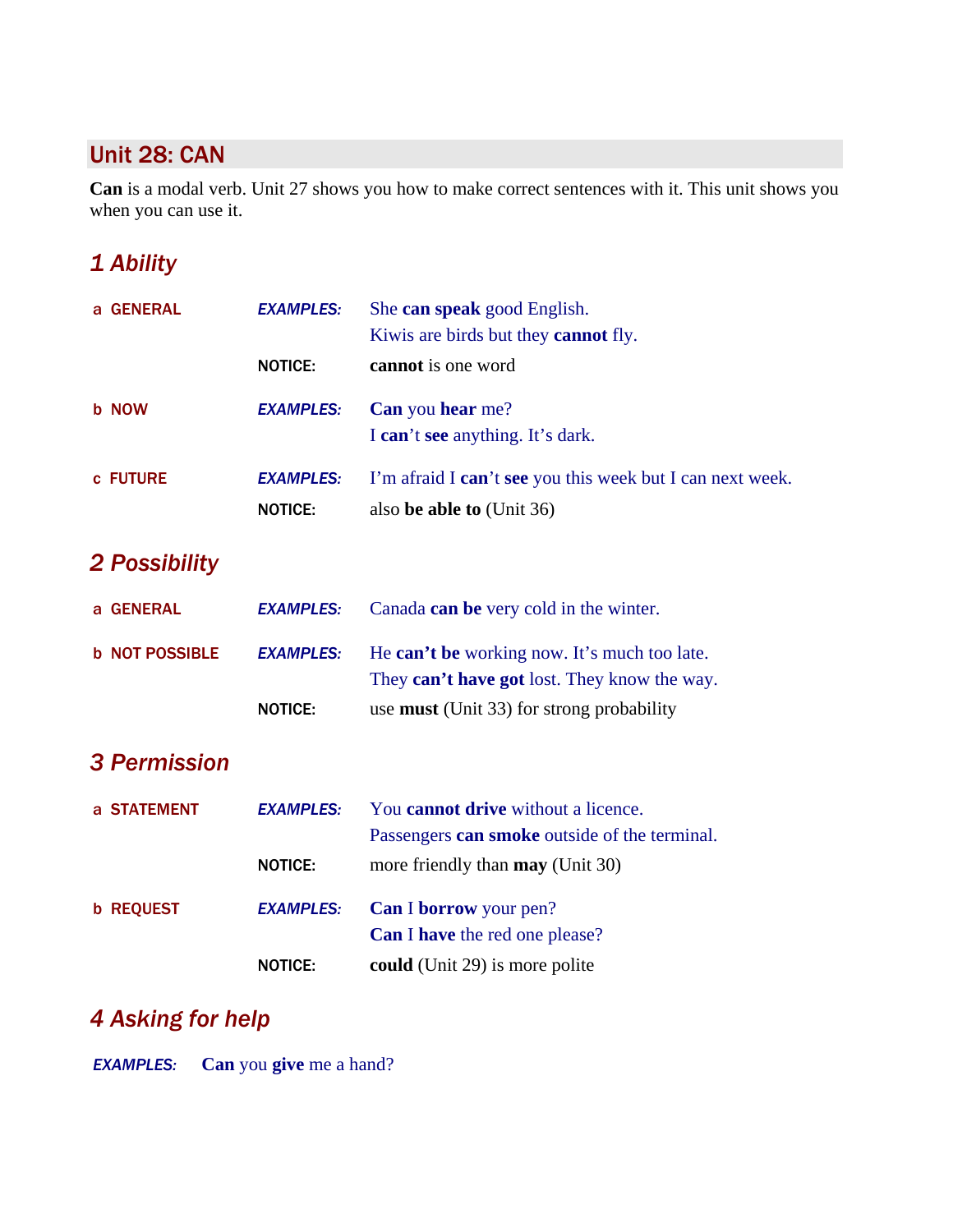## Unit 28: CAN

**Can** is a modal verb. Unit 27 shows you how to make correct sentences with it. This unit shows you when you can use it.

## *1 Ability*

| a GENERAL             | <b>EXAMPLES:</b>                   | She can speak good English.<br>Kiwis are birds but they cannot fly.                          |
|-----------------------|------------------------------------|----------------------------------------------------------------------------------------------|
|                       | <b>NOTICE:</b>                     | cannot is one word                                                                           |
| <b>b</b> NOW          | <b>EXAMPLES:</b>                   | Can you hear me?<br>I can't see anything. It's dark.                                         |
| c FUTURE              | <b>EXAMPLES:</b><br><b>NOTICE:</b> | I'm afraid I can't see you this week but I can next week.<br>also be able to (Unit 36)       |
| 2 Possibility         |                                    |                                                                                              |
| a GENERAL             | <b>EXAMPLES:</b>                   | Canada can be very cold in the winter.                                                       |
| <b>b NOT POSSIBLE</b> | <b>EXAMPLES:</b>                   | He can't be working now. It's much too late.<br>They can't have got lost. They know the way. |
|                       | <b>NOTICE:</b>                     | use <b>must</b> (Unit 33) for strong probability                                             |
| <b>3 Permission</b>   |                                    |                                                                                              |
| a STATEMENT           | <b>EXAMPLES:</b>                   | You <b>cannot drive</b> without a licence.<br>Passengers can smoke outside of the terminal.  |
|                       | <b>NOTICE:</b>                     | more friendly than may (Unit 30)                                                             |
| <b>b REQUEST</b>      | <b>EXAMPLES:</b>                   | Can I borrow your pen?<br><b>Can I have</b> the red one please?                              |
|                       | <b>NOTICE:</b>                     | could (Unit 29) is more polite                                                               |

## *4 Asking for help*

*EXAMPLES:* **Can** you **give** me a hand?